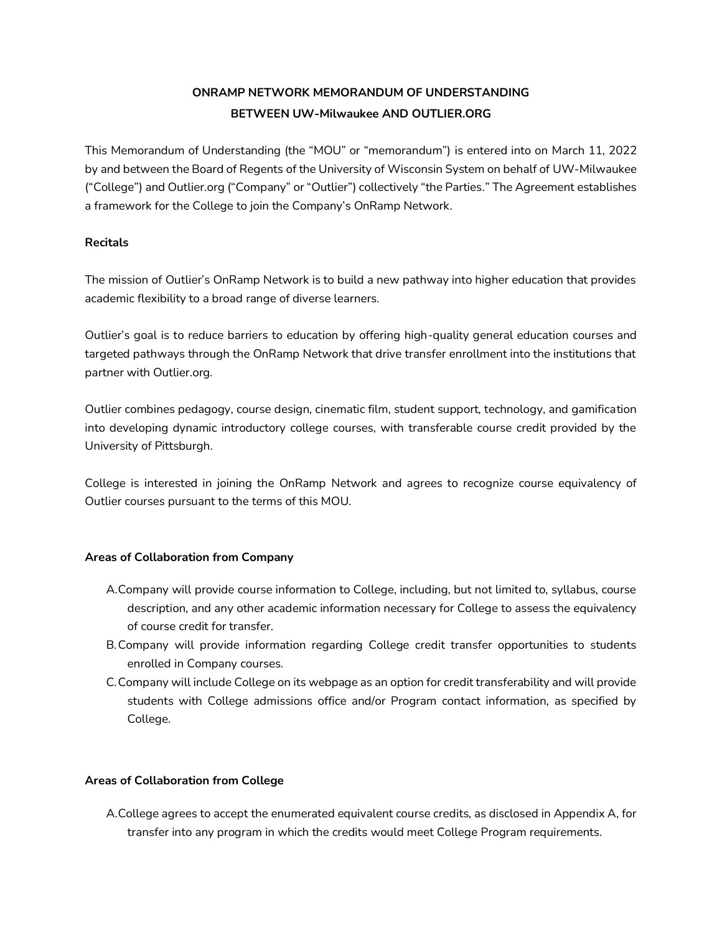# **ONRAMP NETWORK MEMORANDUM OF UNDERSTANDING BETWEEN UW-Milwaukee AND OUTLIER.ORG**

This Memorandum of Understanding (the "MOU" or "memorandum") is entered into on March 11, 2022 by and between the Board of Regents of the University of Wisconsin System on behalf of UW-Milwaukee ("College") and Outlier.org ("Company" or "Outlier") collectively "the Parties." The Agreement establishes a framework for the College to join the Company's OnRamp Network.

# **Recitals**

The mission of Outlier's OnRamp Network is to build a new pathway into higher education that provides academic flexibility to a broad range of diverse learners.

Outlier's goal is to reduce barriers to education by offering high-quality general education courses and targeted pathways through the OnRamp Network that drive transfer enrollment into the institutions that partner with Outlier.org.

Outlier combines pedagogy, course design, cinematic film, student support, technology, and gamification into developing dynamic introductory college courses, with transferable course credit provided by the University of Pittsburgh.

College is interested in joining the OnRamp Network and agrees to recognize course equivalency of Outlier courses pursuant to the terms of this MOU.

# **Areas of Collaboration from Company**

- A.Company will provide course information to College, including, but not limited to, syllabus, course description, and any other academic information necessary for College to assess the equivalency of course credit for transfer.
- B.Company will provide information regarding College credit transfer opportunities to students enrolled in Company courses.
- C.Company will include College on its webpage as an option for credit transferability and will provide students with College admissions office and/or Program contact information, as specified by College.

## **Areas of Collaboration from College**

A.College agrees to accept the enumerated equivalent course credits, as disclosed in Appendix A, for transfer into any program in which the credits would meet College Program requirements.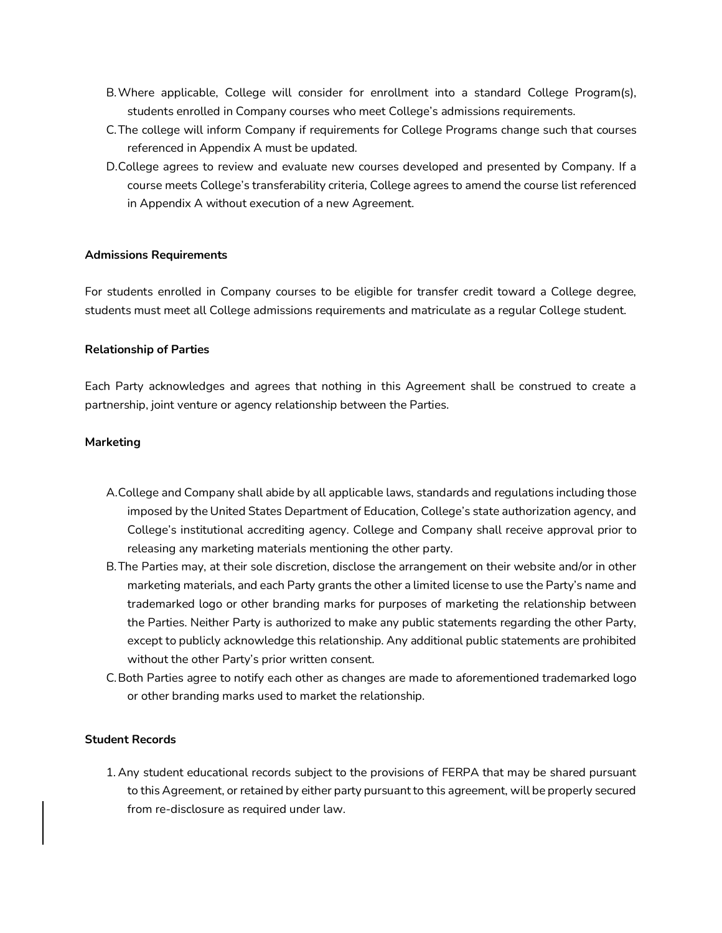- B.Where applicable, College will consider for enrollment into a standard College Program(s), students enrolled in Company courses who meet College's admissions requirements.
- C.The college will inform Company if requirements for College Programs change such that courses referenced in Appendix A must be updated.
- D.College agrees to review and evaluate new courses developed and presented by Company. If a course meets College's transferability criteria, College agrees to amend the course list referenced in Appendix A without execution of a new Agreement.

#### **Admissions Requirements**

For students enrolled in Company courses to be eligible for transfer credit toward a College degree, students must meet all College admissions requirements and matriculate as a regular College student.

#### **Relationship of Parties**

Each Party acknowledges and agrees that nothing in this Agreement shall be construed to create a partnership, joint venture or agency relationship between the Parties.

#### **Marketing**

- A.College and Company shall abide by all applicable laws, standards and regulations including those imposed by the United States Department of Education, College's state authorization agency, and College's institutional accrediting agency. College and Company shall receive approval prior to releasing any marketing materials mentioning the other party.
- B.The Parties may, at their sole discretion, disclose the arrangement on their website and/or in other marketing materials, and each Party grants the other a limited license to use the Party's name and trademarked logo or other branding marks for purposes of marketing the relationship between the Parties. Neither Party is authorized to make any public statements regarding the other Party, except to publicly acknowledge this relationship. Any additional public statements are prohibited without the other Party's prior written consent.
- C.Both Parties agree to notify each other as changes are made to aforementioned trademarked logo or other branding marks used to market the relationship.

#### **Student Records**

1. Any student educational records subject to the provisions of FERPA that may be shared pursuant to this Agreement, or retained by either party pursuant to this agreement, will be properly secured from re-disclosure as required under law.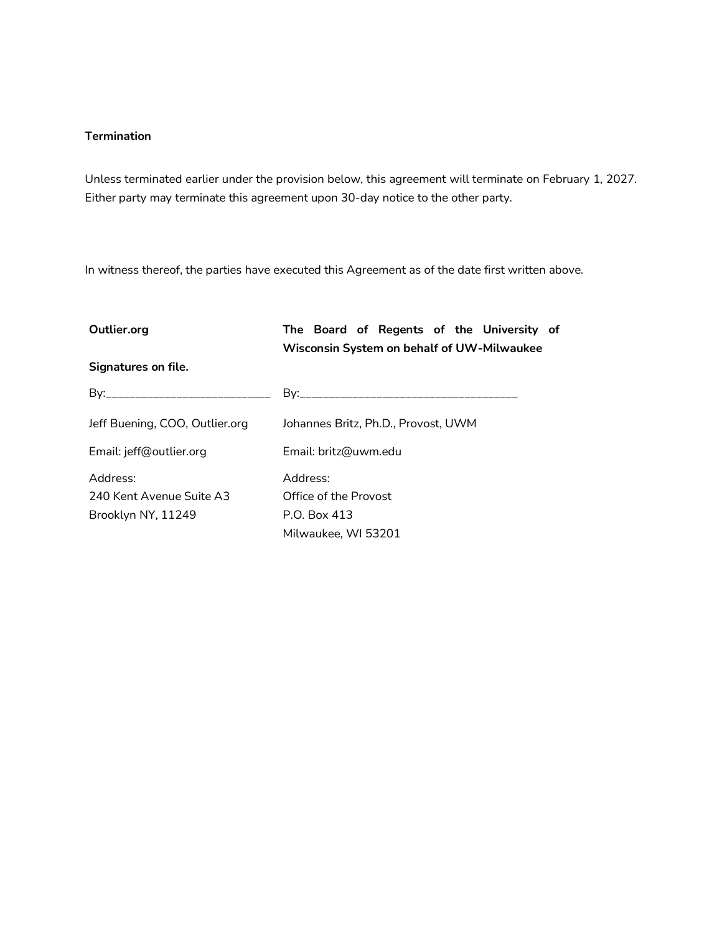### **Termination**

Unless terminated earlier under the provision below, this agreement will terminate on February 1, 2027. Either party may terminate this agreement upon 30-day notice to the other party.

In witness thereof, the parties have executed this Agreement as of the date first written above.

| Outlier.org                    | The Board of Regents of the University of<br>Wisconsin System on behalf of UW-Milwaukee |  |
|--------------------------------|-----------------------------------------------------------------------------------------|--|
| Signatures on file.            |                                                                                         |  |
|                                |                                                                                         |  |
| Jeff Buening, COO, Outlier.org | Johannes Britz, Ph.D., Provost, UWM                                                     |  |
| Email: jeff@outlier.org        | Email: britz@uwm.edu                                                                    |  |
| Address:                       | Address:                                                                                |  |
| 240 Kent Avenue Suite A3       | Office of the Provost                                                                   |  |
| Brooklyn NY, 11249             | P.O. Box 413                                                                            |  |
|                                | Milwaukee, WI 53201                                                                     |  |